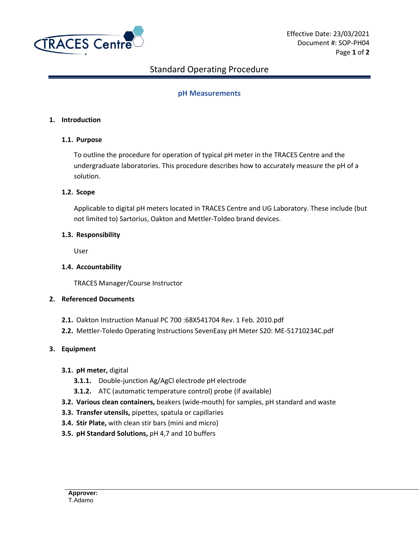

# Standard Operating Procedure

## **pH Measurements**

### **1. Introduction**

### **1.1. Purpose**

To outline the procedure for operation of typical pH meter in the TRACES Centre and the undergraduate laboratories. This procedure describes how to accurately measure the pH of a solution.

#### **1.2. Scope**

Applicable to digital pH meters located in TRACES Centre and UG Laboratory. These include (but not limited to) Sartorius, Oakton and Mettler-Toldeo brand devices.

#### **1.3. Responsibility**

User

### **1.4. Accountability**

TRACES Manager/Course Instructor

### **2. Referenced Documents**

- **2.1.** Oakton Instruction Manual PC 700 :68X541704 Rev. 1 Feb. 2010.pdf
- **2.2.** Mettler-Toledo Operating Instructions SevenEasy pH Meter S20: ME-51710234C.pdf

### **3. Equipment**

### **3.1. pH meter,** digital

- **3.1.1.** Double-junction Ag/AgCl electrode pH electrode
- **3.1.2.** ATC (automatic temperature control) probe (if available)
- **3.2. Various clean containers,** beakers (wide-mouth) for samples, pH standard and waste
- **3.3. Transfer utensils,** pipettes, spatula or capillaries
- **3.4. Stir Plate,** with clean stir bars (mini and micro)
- **3.5. pH Standard Solutions,** pH 4,7 and 10 buffers